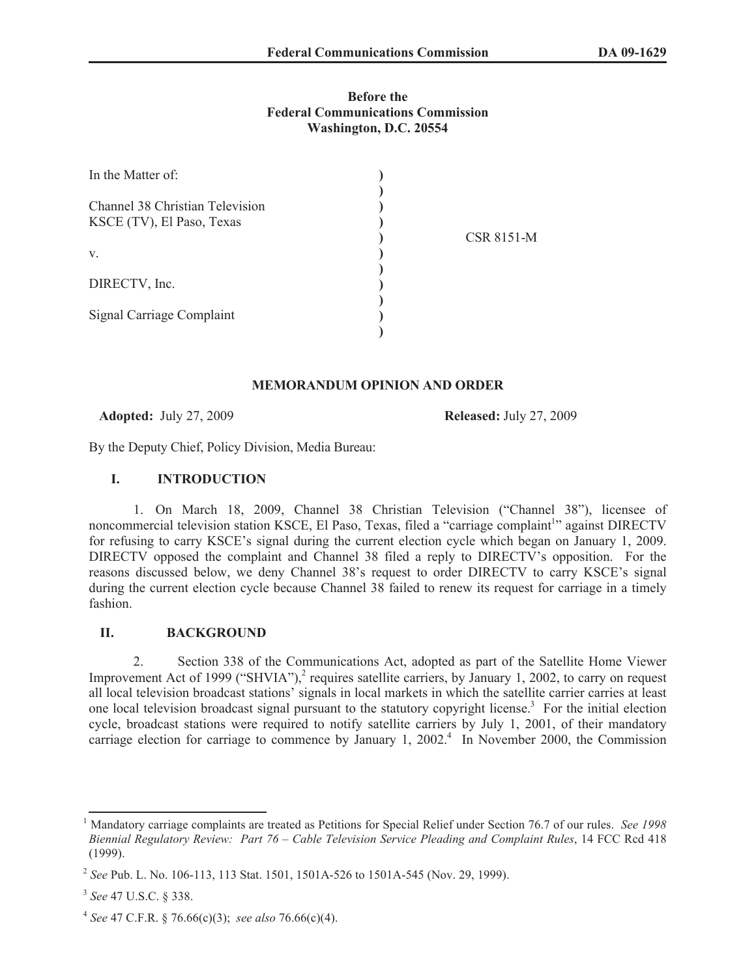# **Before the Federal Communications Commission Washington, D.C. 20554**

| In the Matter of:                                            |                   |
|--------------------------------------------------------------|-------------------|
| Channel 38 Christian Television<br>KSCE (TV), El Paso, Texas | <b>CSR 8151-M</b> |
| V.                                                           |                   |
| DIRECTV, Inc.                                                |                   |
| Signal Carriage Complaint                                    |                   |

## **MEMORANDUM OPINION AND ORDER**

**Adopted:** July 27, 2009 **Released:** July 27, 2009

By the Deputy Chief, Policy Division, Media Bureau:

## **I. INTRODUCTION**

1. On March 18, 2009, Channel 38 Christian Television ("Channel 38"), licensee of noncommercial television station KSCE, El Paso, Texas, filed a "carriage complaint<sup>1</sup>" against DIRECTV for refusing to carry KSCE's signal during the current election cycle which began on January 1, 2009. DIRECTV opposed the complaint and Channel 38 filed a reply to DIRECTV's opposition. For the reasons discussed below, we deny Channel 38's request to order DIRECTV to carry KSCE's signal during the current election cycle because Channel 38 failed to renew its request for carriage in a timely fashion.

# **II. BACKGROUND**

2. Section 338 of the Communications Act, adopted as part of the Satellite Home Viewer Improvement Act of 1999 ("SHVIA"),<sup>2</sup> requires satellite carriers, by January 1, 2002, to carry on request all local television broadcast stations' signals in local markets in which the satellite carrier carries at least one local television broadcast signal pursuant to the statutory copyright license.<sup>3</sup> For the initial election cycle, broadcast stations were required to notify satellite carriers by July 1, 2001, of their mandatory carriage election for carriage to commence by January 1, 2002.<sup>4</sup> In November 2000, the Commission

<sup>1</sup> Mandatory carriage complaints are treated as Petitions for Special Relief under Section 76.7 of our rules. *See 1998 Biennial Regulatory Review: Part 76 – Cable Television Service Pleading and Complaint Rules*, 14 FCC Rcd 418 (1999).

<sup>2</sup> *See* Pub. L. No. 106-113, 113 Stat. 1501, 1501A-526 to 1501A-545 (Nov. 29, 1999).

<sup>3</sup> *See* 47 U.S.C. § 338.

<sup>4</sup> *See* 47 C.F.R. § 76.66(c)(3); *see also* 76.66(c)(4).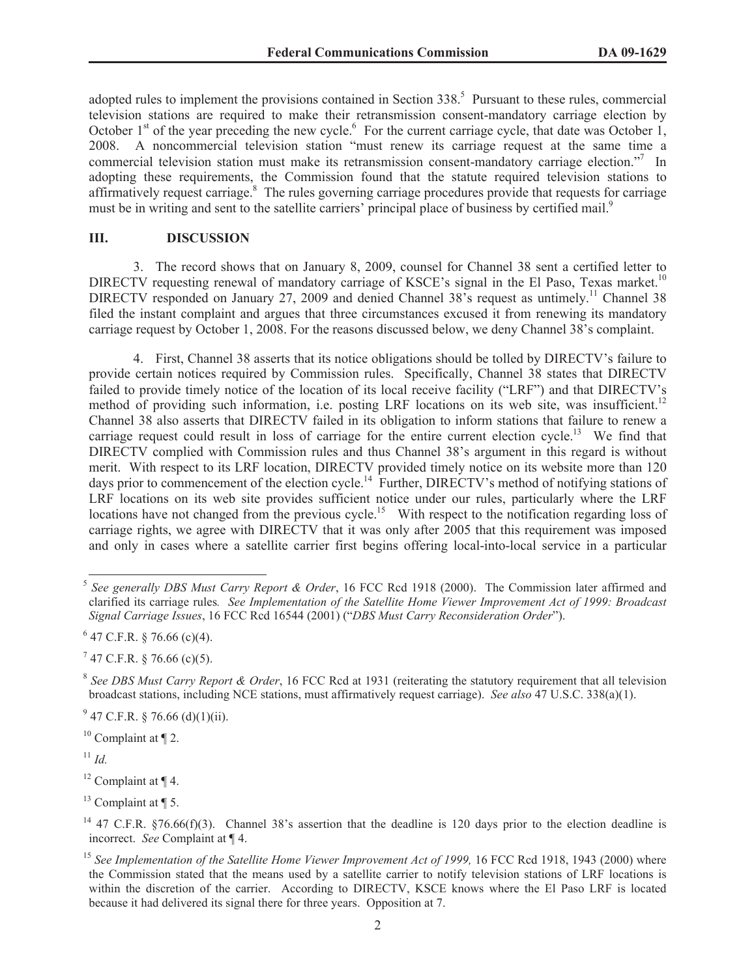adopted rules to implement the provisions contained in Section 338.<sup>5</sup> Pursuant to these rules, commercial television stations are required to make their retransmission consent-mandatory carriage election by October  $1<sup>st</sup>$  of the year preceding the new cycle.<sup>6</sup> For the current carriage cycle, that date was October 1, 2008. A noncommercial television station "must renew its carriage request at the same time a commercial television station must make its retransmission consent-mandatory carriage election."<sup>7</sup> In adopting these requirements, the Commission found that the statute required television stations to affirmatively request carriage.<sup>8</sup> The rules governing carriage procedures provide that requests for carriage must be in writing and sent to the satellite carriers' principal place of business by certified mail.<sup>9</sup>

### **III. DISCUSSION**

3. The record shows that on January 8, 2009, counsel for Channel 38 sent a certified letter to DIRECTV requesting renewal of mandatory carriage of KSCE's signal in the El Paso, Texas market.<sup>10</sup> DIRECTV responded on January 27, 2009 and denied Channel 38's request as untimely.<sup>11</sup> Channel 38 filed the instant complaint and argues that three circumstances excused it from renewing its mandatory carriage request by October 1, 2008. For the reasons discussed below, we deny Channel 38's complaint.

4. First, Channel 38 asserts that its notice obligations should be tolled by DIRECTV's failure to provide certain notices required by Commission rules. Specifically, Channel 38 states that DIRECTV failed to provide timely notice of the location of its local receive facility ("LRF") and that DIRECTV's method of providing such information, i.e. posting LRF locations on its web site, was insufficient.<sup>12</sup> Channel 38 also asserts that DIRECTV failed in its obligation to inform stations that failure to renew a carriage request could result in loss of carriage for the entire current election cycle.<sup>13</sup> We find that DIRECTV complied with Commission rules and thus Channel 38's argument in this regard is without merit. With respect to its LRF location, DIRECTV provided timely notice on its website more than 120 days prior to commencement of the election cycle.<sup>14</sup> Further, DIRECTV's method of notifying stations of LRF locations on its web site provides sufficient notice under our rules, particularly where the LRF locations have not changed from the previous cycle.<sup>15</sup> With respect to the notification regarding loss of carriage rights, we agree with DIRECTV that it was only after 2005 that this requirement was imposed and only in cases where a satellite carrier first begins offering local-into-local service in a particular

 $9^9$  47 C.F.R. § 76.66 (d)(1)(ii).

 $10$  Complaint at  $\P$  2.

 $11$  *Id.* 

 $12$  Complaint at  $\P$  4.

 $13$  Complaint at ¶ 5.

<sup>5</sup> *See generally DBS Must Carry Report & Order*, 16 FCC Rcd 1918 (2000). The Commission later affirmed and clarified its carriage rules*. See Implementation of the Satellite Home Viewer Improvement Act of 1999: Broadcast Signal Carriage Issues*, 16 FCC Rcd 16544 (2001) ("*DBS Must Carry Reconsideration Order*").

 $6$  47 C.F.R. § 76.66 (c)(4).

 $7$  47 C.F.R. § 76.66 (c)(5).

<sup>8</sup> *See DBS Must Carry Report & Order*, 16 FCC Rcd at 1931 (reiterating the statutory requirement that all television broadcast stations, including NCE stations, must affirmatively request carriage). *See also* 47 U.S.C. 338(a)(1).

<sup>&</sup>lt;sup>14</sup> 47 C.F.R. §76.66(f)(3). Channel 38's assertion that the deadline is 120 days prior to the election deadline is incorrect. *See* Complaint at ¶ 4.

<sup>&</sup>lt;sup>15</sup> See Implementation of the Satellite Home Viewer Improvement Act of 1999, 16 FCC Rcd 1918, 1943 (2000) where the Commission stated that the means used by a satellite carrier to notify television stations of LRF locations is within the discretion of the carrier. According to DIRECTV, KSCE knows where the El Paso LRF is located because it had delivered its signal there for three years. Opposition at 7.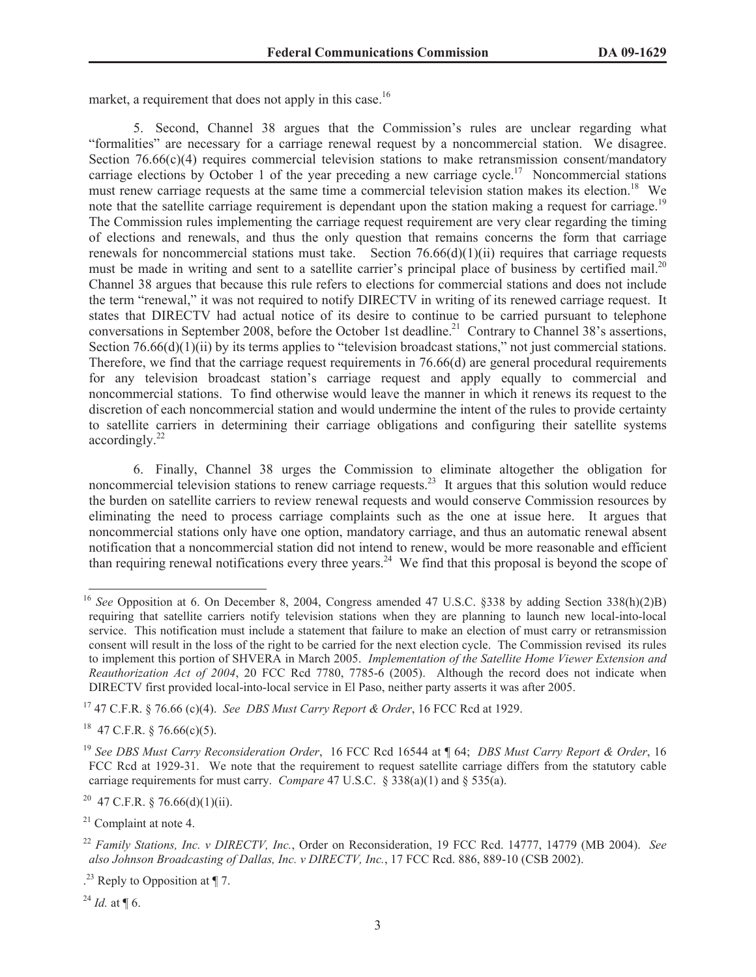market, a requirement that does not apply in this case.<sup>16</sup>

5. Second, Channel 38 argues that the Commission's rules are unclear regarding what "formalities" are necessary for a carriage renewal request by a noncommercial station. We disagree. Section 76.66(c)(4) requires commercial television stations to make retransmission consent/mandatory carriage elections by October 1 of the year preceding a new carriage cycle.<sup>17</sup> Noncommercial stations must renew carriage requests at the same time a commercial television station makes its election.<sup>18</sup> We note that the satellite carriage requirement is dependant upon the station making a request for carriage.<sup>19</sup> The Commission rules implementing the carriage request requirement are very clear regarding the timing of elections and renewals, and thus the only question that remains concerns the form that carriage renewals for noncommercial stations must take. Section 76.66(d)(1)(ii) requires that carriage requests must be made in writing and sent to a satellite carrier's principal place of business by certified mail.<sup>20</sup> Channel 38 argues that because this rule refers to elections for commercial stations and does not include the term "renewal," it was not required to notify DIRECTV in writing of its renewed carriage request. It states that DIRECTV had actual notice of its desire to continue to be carried pursuant to telephone conversations in September 2008, before the October 1st deadline.<sup>21</sup> Contrary to Channel 38's assertions, Section 76.66(d)(1)(ii) by its terms applies to "television broadcast stations," not just commercial stations. Therefore, we find that the carriage request requirements in 76.66(d) are general procedural requirements for any television broadcast station's carriage request and apply equally to commercial and noncommercial stations. To find otherwise would leave the manner in which it renews its request to the discretion of each noncommercial station and would undermine the intent of the rules to provide certainty to satellite carriers in determining their carriage obligations and configuring their satellite systems  $accordingly.<sup>22</sup>$ 

6. Finally, Channel 38 urges the Commission to eliminate altogether the obligation for noncommercial television stations to renew carriage requests.<sup>23</sup> It argues that this solution would reduce the burden on satellite carriers to review renewal requests and would conserve Commission resources by eliminating the need to process carriage complaints such as the one at issue here. It argues that noncommercial stations only have one option, mandatory carriage, and thus an automatic renewal absent notification that a noncommercial station did not intend to renew, would be more reasonable and efficient than requiring renewal notifications every three years.<sup>24</sup> We find that this proposal is beyond the scope of

<sup>17</sup> 47 C.F.R. § 76.66 (c)(4). *See DBS Must Carry Report & Order*, 16 FCC Rcd at 1929.

 $18$  47 C.F.R. § 76.66(c)(5).

<sup>20</sup> 47 C.F.R. § 76.66(d)(1)(ii).

 $21$  Complaint at note 4.

 $^{24}$  *Id.* at ¶ 6.

<sup>16</sup> *See* Opposition at 6. On December 8, 2004, Congress amended 47 U.S.C. §338 by adding Section 338(h)(2)B) requiring that satellite carriers notify television stations when they are planning to launch new local-into-local service. This notification must include a statement that failure to make an election of must carry or retransmission consent will result in the loss of the right to be carried for the next election cycle. The Commission revised its rules to implement this portion of SHVERA in March 2005. *Implementation of the Satellite Home Viewer Extension and Reauthorization Act of 2004*, 20 FCC Rcd 7780, 7785-6 (2005). Although the record does not indicate when DIRECTV first provided local-into-local service in El Paso, neither party asserts it was after 2005.

<sup>19</sup> *See DBS Must Carry Reconsideration Order*, 16 FCC Rcd 16544 at ¶ 64; *DBS Must Carry Report & Order*, 16 FCC Rcd at 1929-31. We note that the requirement to request satellite carriage differs from the statutory cable carriage requirements for must carry. *Compare* 47 U.S.C. § 338(a)(1) and § 535(a).

<sup>22</sup> *Family Stations, Inc. v DIRECTV, Inc.*, Order on Reconsideration, 19 FCC Rcd. 14777, 14779 (MB 2004). *See also Johnson Broadcasting of Dallas, Inc. v DIRECTV, Inc.*, 17 FCC Rcd. 886, 889-10 (CSB 2002).

<sup>.</sup> <sup>23</sup> Reply to Opposition at ¶ 7.